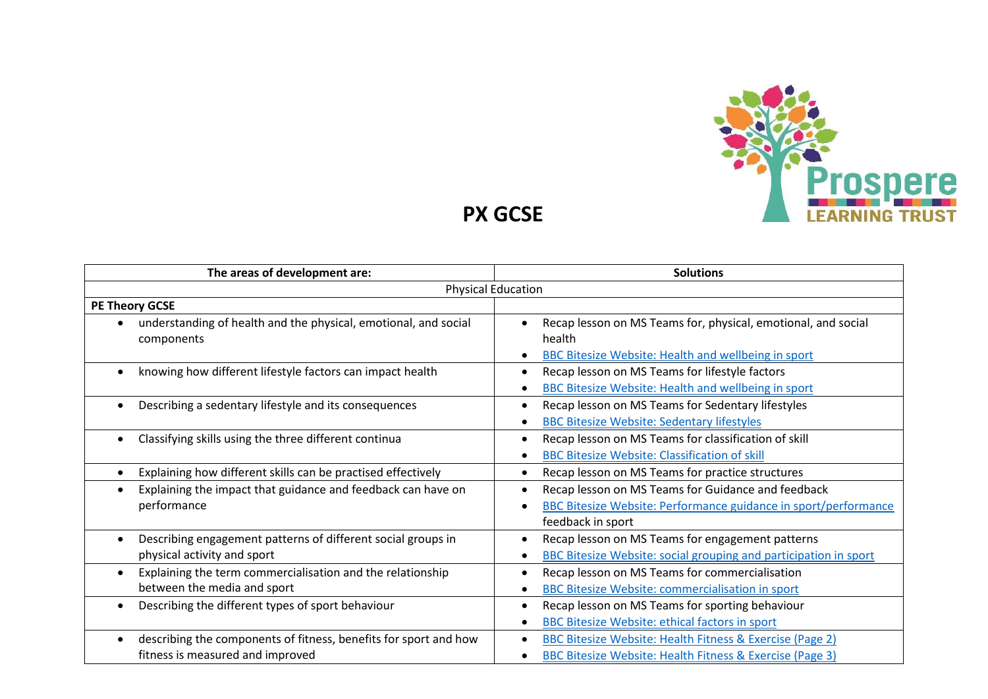

**PX GCSE**

| The areas of development are:                                                                                     | <b>Solutions</b>                                                                                                                                       |
|-------------------------------------------------------------------------------------------------------------------|--------------------------------------------------------------------------------------------------------------------------------------------------------|
| <b>Physical Education</b>                                                                                         |                                                                                                                                                        |
| <b>PE Theory GCSE</b>                                                                                             |                                                                                                                                                        |
| understanding of health and the physical, emotional, and social<br>components                                     | Recap lesson on MS Teams for, physical, emotional, and social<br>health<br><b>BBC Bitesize Website: Health and wellbeing in sport</b>                  |
| knowing how different lifestyle factors can impact health<br>$\bullet$                                            | Recap lesson on MS Teams for lifestyle factors<br>$\bullet$<br><b>BBC Bitesize Website: Health and wellbeing in sport</b>                              |
| Describing a sedentary lifestyle and its consequences<br>$\bullet$                                                | Recap lesson on MS Teams for Sedentary lifestyles<br><b>BBC Bitesize Website: Sedentary lifestyles</b>                                                 |
| Classifying skills using the three different continua                                                             | Recap lesson on MS Teams for classification of skill<br><b>BBC Bitesize Website: Classification of skill</b>                                           |
| Explaining how different skills can be practised effectively                                                      | Recap lesson on MS Teams for practice structures                                                                                                       |
| Explaining the impact that guidance and feedback can have on<br>$\bullet$<br>performance                          | Recap lesson on MS Teams for Guidance and feedback<br>٠<br><b>BBC Bitesize Website: Performance guidance in sport/performance</b><br>feedback in sport |
| Describing engagement patterns of different social groups in<br>$\bullet$<br>physical activity and sport          | Recap lesson on MS Teams for engagement patterns<br><b>BBC Bitesize Website: social grouping and participation in sport</b>                            |
| Explaining the term commercialisation and the relationship<br>$\bullet$<br>between the media and sport            | Recap lesson on MS Teams for commercialisation<br><b>BBC Bitesize Website: commercialisation in sport</b>                                              |
| Describing the different types of sport behaviour<br>$\bullet$                                                    | Recap lesson on MS Teams for sporting behaviour<br>BBC Bitesize Website: ethical factors in sport                                                      |
| describing the components of fitness, benefits for sport and how<br>$\bullet$<br>fitness is measured and improved | BBC Bitesize Website: Health Fitness & Exercise (Page 2)<br>٠<br><b>BBC Bitesize Website: Health Fitness &amp; Exercise (Page 3)</b>                   |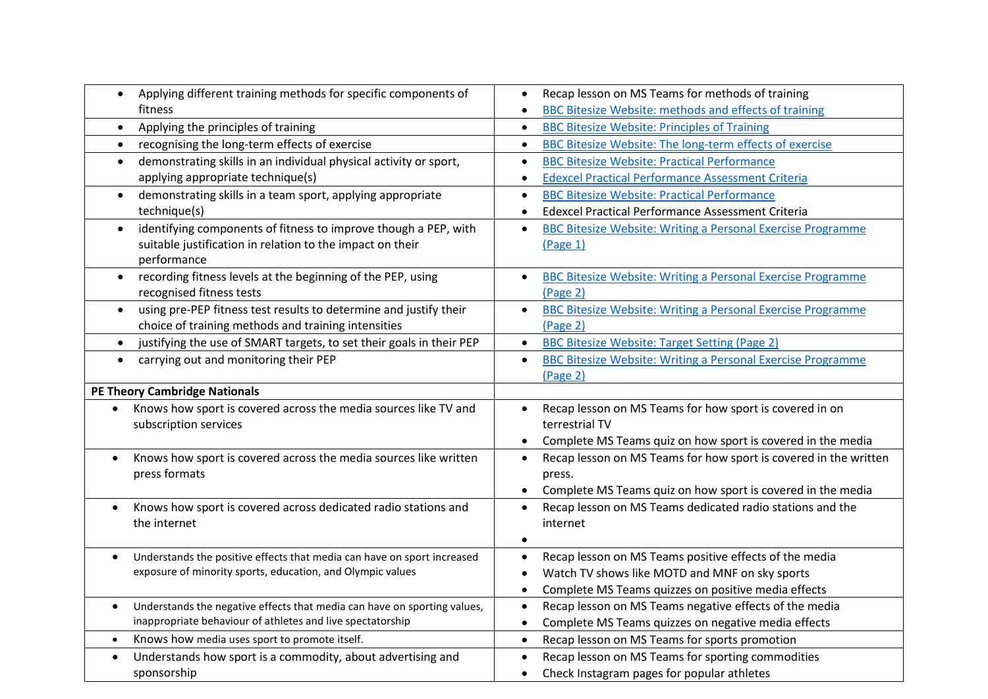| Applying different training methods for specific components of<br>$\bullet$                                                                        | Recap lesson on MS Teams for methods of training                              |
|----------------------------------------------------------------------------------------------------------------------------------------------------|-------------------------------------------------------------------------------|
| fitness                                                                                                                                            | BBC Bitesize Website: methods and effects of training                         |
| Applying the principles of training<br>$\bullet$                                                                                                   | <b>BBC Bitesize Website: Principles of Training</b><br>$\bullet$              |
| recognising the long-term effects of exercise<br>$\bullet$                                                                                         | <b>BBC Bitesize Website: The long-term effects of exercise</b><br>$\bullet$   |
| demonstrating skills in an individual physical activity or sport,<br>$\bullet$                                                                     | <b>BBC Bitesize Website: Practical Performance</b><br>$\bullet$               |
| applying appropriate technique(s)                                                                                                                  | <b>Edexcel Practical Performance Assessment Criteria</b><br>$\bullet$         |
| demonstrating skills in a team sport, applying appropriate<br>$\bullet$                                                                            | <b>BBC Bitesize Website: Practical Performance</b><br>$\bullet$               |
| technique(s)                                                                                                                                       | Edexcel Practical Performance Assessment Criteria                             |
| identifying components of fitness to improve though a PEP, with<br>$\bullet$                                                                       | <b>BBC Bitesize Website: Writing a Personal Exercise Programme</b>            |
| suitable justification in relation to the impact on their                                                                                          | (Page 1)                                                                      |
| performance                                                                                                                                        |                                                                               |
| recording fitness levels at the beginning of the PEP, using<br>$\bullet$                                                                           | <b>BBC Bitesize Website: Writing a Personal Exercise Programme</b>            |
| recognised fitness tests                                                                                                                           | (Page 2)                                                                      |
| using pre-PEP fitness test results to determine and justify their<br>$\bullet$                                                                     | <b>BBC Bitesize Website: Writing a Personal Exercise Programme</b>            |
| choice of training methods and training intensities                                                                                                | (Page 2)                                                                      |
| justifying the use of SMART targets, to set their goals in their PEP<br>$\bullet$                                                                  | <b>BBC Bitesize Website: Target Setting (Page 2)</b><br>$\bullet$             |
| carrying out and monitoring their PEP<br>$\bullet$                                                                                                 | BBC Bitesize Website: Writing a Personal Exercise Programme<br>$\bullet$      |
|                                                                                                                                                    | $(Page_2)$                                                                    |
| <b>PE Theory Cambridge Nationals</b>                                                                                                               |                                                                               |
| Knows how sport is covered across the media sources like TV and<br>$\bullet$                                                                       | Recap lesson on MS Teams for how sport is covered in on<br>$\bullet$          |
| subscription services                                                                                                                              | terrestrial TV                                                                |
|                                                                                                                                                    | Complete MS Teams quiz on how sport is covered in the media                   |
| Knows how sport is covered across the media sources like written<br>$\bullet$                                                                      | Recap lesson on MS Teams for how sport is covered in the written<br>$\bullet$ |
| press formats                                                                                                                                      | press.                                                                        |
|                                                                                                                                                    | Complete MS Teams quiz on how sport is covered in the media                   |
| Knows how sport is covered across dedicated radio stations and<br>$\bullet$                                                                        | Recap lesson on MS Teams dedicated radio stations and the                     |
| the internet                                                                                                                                       | internet                                                                      |
|                                                                                                                                                    |                                                                               |
| Understands the positive effects that media can have on sport increased<br>$\bullet$<br>exposure of minority sports, education, and Olympic values | Recap lesson on MS Teams positive effects of the media                        |
|                                                                                                                                                    | Watch TV shows like MOTD and MNF on sky sports                                |
|                                                                                                                                                    | Complete MS Teams quizzes on positive media effects<br>$\bullet$              |
| Understands the negative effects that media can have on sporting values,<br>$\bullet$                                                              | Recap lesson on MS Teams negative effects of the media<br>$\bullet$           |
|                                                                                                                                                    |                                                                               |
| inappropriate behaviour of athletes and live spectatorship                                                                                         | Complete MS Teams quizzes on negative media effects<br>$\bullet$              |
| Knows how media uses sport to promote itself.<br>$\bullet$                                                                                         | Recap lesson on MS Teams for sports promotion<br>$\bullet$                    |
| Understands how sport is a commodity, about advertising and<br>$\bullet$<br>sponsorship                                                            | Recap lesson on MS Teams for sporting commodities                             |